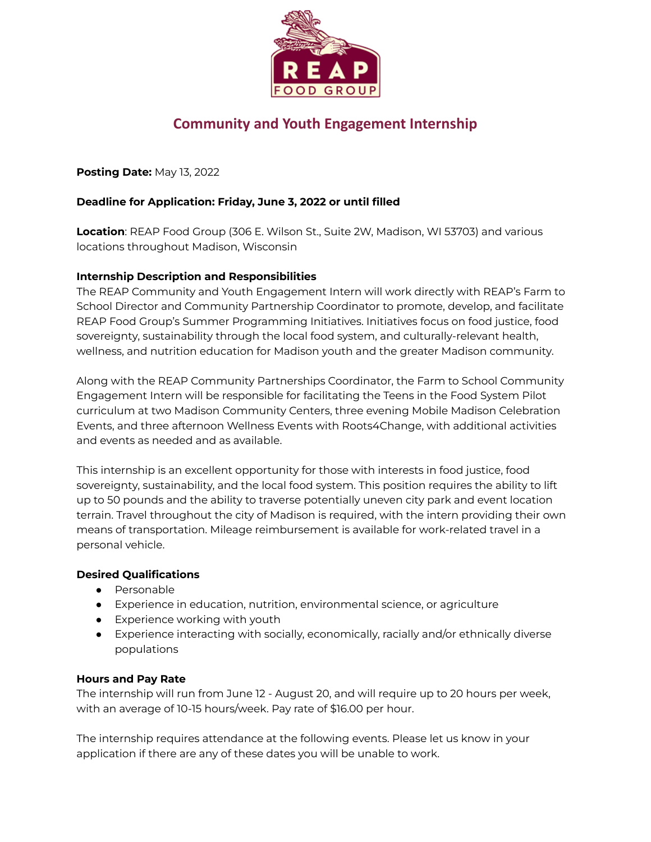

# **Community and Youth Engagement Internship**

**Posting Date:** May 13, 2022

# **Deadline for Application: Friday, June 3, 2022 or until filled**

**Location**: REAP Food Group (306 E. Wilson St., Suite 2W, Madison, WI 53703) and various locations throughout Madison, Wisconsin

## **Internship Description and Responsibilities**

The REAP Community and Youth Engagement Intern will work directly with REAP's Farm to School Director and Community Partnership Coordinator to promote, develop, and facilitate REAP Food Group's Summer Programming Initiatives. Initiatives focus on food justice, food sovereignty, sustainability through the local food system, and culturally-relevant health, wellness, and nutrition education for Madison youth and the greater Madison community.

Along with the REAP Community Partnerships Coordinator, the Farm to School Community Engagement Intern will be responsible for facilitating the Teens in the Food System Pilot curriculum at two Madison Community Centers, three evening Mobile Madison Celebration Events, and three afternoon Wellness Events with Roots4Change, with additional activities and events as needed and as available.

This internship is an excellent opportunity for those with interests in food justice, food sovereignty, sustainability, and the local food system. This position requires the ability to lift up to 50 pounds and the ability to traverse potentially uneven city park and event location terrain. Travel throughout the city of Madison is required, with the intern providing their own means of transportation. Mileage reimbursement is available for work-related travel in a personal vehicle.

## **Desired Qualifications**

- Personable
- Experience in education, nutrition, environmental science, or agriculture
- Experience working with youth
- Experience interacting with socially, economically, racially and/or ethnically diverse populations

## **Hours and Pay Rate**

The internship will run from June 12 - August 20, and will require up to 20 hours per week, with an average of 10-15 hours/week. Pay rate of \$16.00 per hour.

The internship requires attendance at the following events. Please let us know in your application if there are any of these dates you will be unable to work.